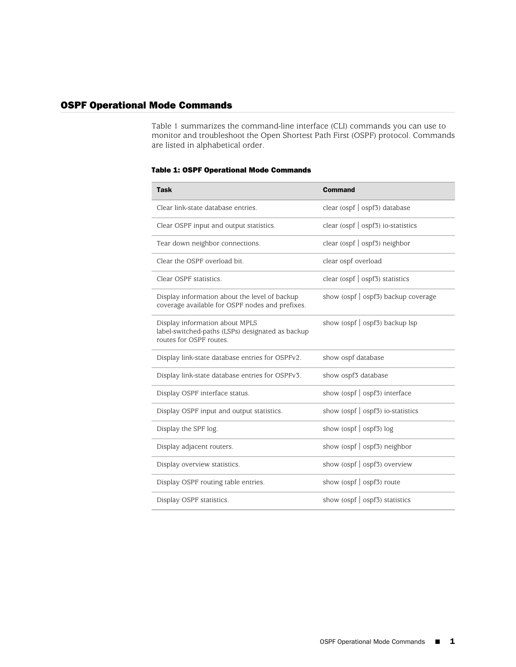## OSPF Operational Mode Commands

[Table 1](#page-0-0) summarizes the command-line interface (CLI) commands you can use to monitor and troubleshoot the Open Shortest Path First (OSPF) protocol. Commands are listed in alphabetical order.

## <span id="page-0-0"></span>Table 1: OSPF Operational Mode Commands

| Task                                                                                                          | <b>Command</b>                            |
|---------------------------------------------------------------------------------------------------------------|-------------------------------------------|
| Clear link-state database entries.                                                                            | clear (ospf $\vert$ ospf3) database       |
| Clear OSPF input and output statistics.                                                                       | clear ( $ospf$   $ospf3$ ) io-statistics  |
| Tear down neighbor connections.                                                                               | clear (ospf $\vert$ ospf3) neighbor       |
| Clear the OSPF overload bit.                                                                                  | clear ospf overload                       |
| Clear OSPF statistics.                                                                                        | clear (ospf $\vert$ ospf3) statistics     |
| Display information about the level of backup<br>coverage available for OSPF nodes and prefixes.              | show (ospf $\vert$ ospf3) backup coverage |
| Display information about MPLS<br>label-switched-paths (LSPs) designated as backup<br>routes for OSPF routes. | show (ospf $\vert$ ospf3) backup lsp      |
| Display link-state database entries for OSPFv2.                                                               | show ospf database                        |
| Display link-state database entries for OSPFv3.                                                               | show ospf3 database                       |
| Display OSPF interface status.                                                                                | show (ospf $\vert$ ospf3) interface       |
| Display OSPF input and output statistics.                                                                     | show (ospf $\vert$ ospf3) io-statistics   |
| Display the SPF log.                                                                                          | show (ospf $\vert$ ospf3) log             |
| Display adjacent routers.                                                                                     | show (ospf   ospf3) neighbor              |
| Display overview statistics.                                                                                  | show (ospf $\vert$ ospf3) overview        |
| Display OSPF routing table entries.                                                                           | show (ospf $\vert$ ospf3) route           |
| Display OSPF statistics.                                                                                      | show (ospf $\vert$ ospf3) statistics      |